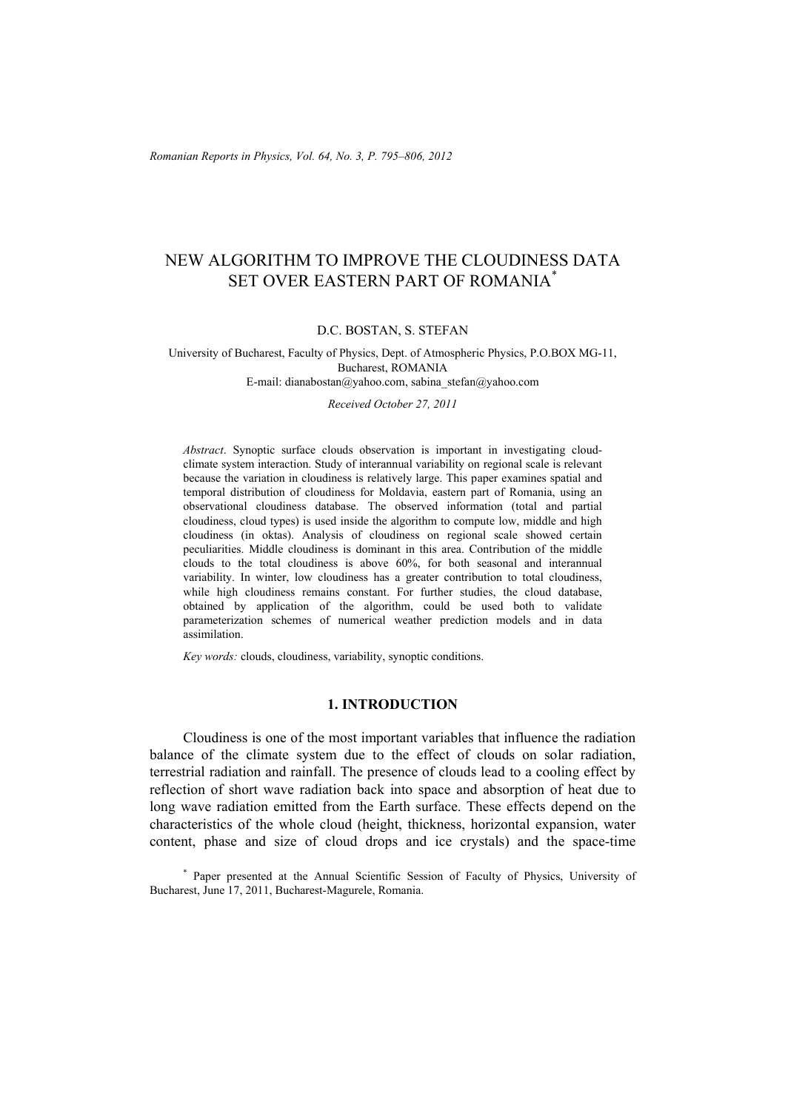# NEW ALGORITHM TO IMPROVE THE CLOUDINESS DATA SET OVER EASTERN PART OF ROMANIA\*

### D.C. BOSTAN, S. STEFAN

#### University of Bucharest, Faculty of Physics, Dept. of Atmospheric Physics, P.O.BOX MG-11, Bucharest, ROMANIA E-mail: dianabostan@yahoo.com, sabina\_stefan@yahoo.com

*Received October 27, 2011* 

*Abstract*. Synoptic surface clouds observation is important in investigating cloudclimate system interaction. Study of interannual variability on regional scale is relevant because the variation in cloudiness is relatively large. This paper examines spatial and temporal distribution of cloudiness for Moldavia, eastern part of Romania, using an observational cloudiness database. The observed information (total and partial cloudiness, cloud types) is used inside the algorithm to compute low, middle and high cloudiness (in oktas). Analysis of cloudiness on regional scale showed certain peculiarities. Middle cloudiness is dominant in this area. Contribution of the middle clouds to the total cloudiness is above 60%, for both seasonal and interannual variability. In winter, low cloudiness has a greater contribution to total cloudiness, while high cloudiness remains constant. For further studies, the cloud database, obtained by application of the algorithm, could be used both to validate parameterization schemes of numerical weather prediction models and in data assimilation.

*Key words:* clouds, cloudiness, variability, synoptic conditions.

# **1. INTRODUCTION**

Cloudiness is one of the most important variables that influence the radiation balance of the climate system due to the effect of clouds on solar radiation, terrestrial radiation and rainfall. The presence of clouds lead to a cooling effect by reflection of short wave radiation back into space and absorption of heat due to long wave radiation emitted from the Earth surface. These effects depend on the characteristics of the whole cloud (height, thickness, horizontal expansion, water content, phase and size of cloud drops and ice crystals) and the space-time

\* Paper presented at the Annual Scientific Session of Faculty of Physics, University of Bucharest, June 17, 2011, Bucharest-Magurele, Romania.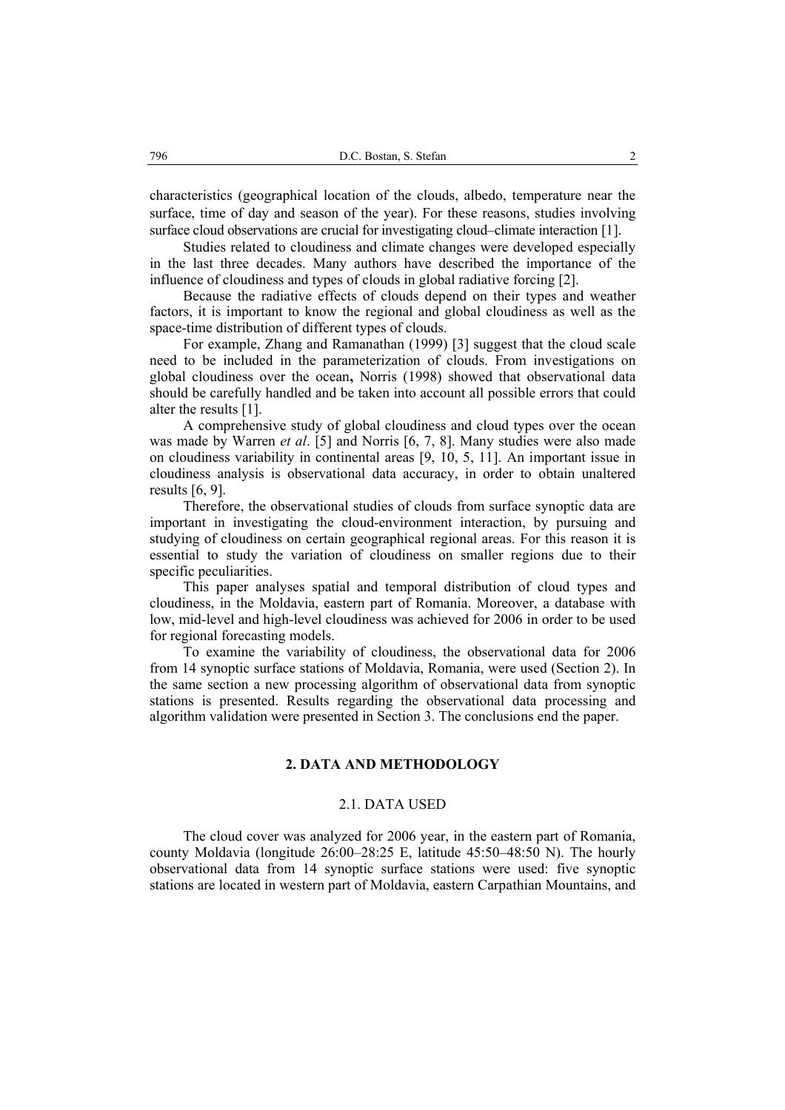characteristics (geographical location of the clouds, albedo, temperature near the surface, time of day and season of the year). For these reasons, studies involving surface cloud observations are crucial for investigating cloud–climate interaction [1].

Studies related to cloudiness and climate changes were developed especially in the last three decades. Many authors have described the importance of the influence of cloudiness and types of clouds in global radiative forcing [2].

Because the radiative effects of clouds depend on their types and weather factors, it is important to know the regional and global cloudiness as well as the space-time distribution of different types of clouds.

For example, Zhang and Ramanathan (1999) [3] suggest that the cloud scale need to be included in the parameterization of clouds. From investigations on global cloudiness over the ocean**,** Norris (1998) showed that observational data should be carefully handled and be taken into account all possible errors that could alter the results [1].

A comprehensive study of global cloudiness and cloud types over the ocean was made by Warren *et al*. [5] and Norris [6, 7, 8]. Many studies were also made on cloudiness variability in continental areas [9, 10, 5, 11]. An important issue in cloudiness analysis is observational data accuracy, in order to obtain unaltered results [6, 9].

Therefore, the observational studies of clouds from surface synoptic data are important in investigating the cloud-environment interaction, by pursuing and studying of cloudiness on certain geographical regional areas. For this reason it is essential to study the variation of cloudiness on smaller regions due to their specific peculiarities.

This paper analyses spatial and temporal distribution of cloud types and cloudiness, in the Moldavia, eastern part of Romania. Moreover, a database with low, mid-level and high-level cloudiness was achieved for 2006 in order to be used for regional forecasting models.

To examine the variability of cloudiness, the observational data for 2006 from 14 synoptic surface stations of Moldavia, Romania, were used (Section 2). In the same section a new processing algorithm of observational data from synoptic stations is presented. Results regarding the observational data processing and algorithm validation were presented in Section 3. The conclusions end the paper.

# **2. DATA AND METHODOLOGY**

### 2.1. DATA USED

The cloud cover was analyzed for 2006 year, in the eastern part of Romania, county Moldavia (longitude 26:00–28:25 E, latitude 45:50–48:50 N). The hourly observational data from 14 synoptic surface stations were used: five synoptic stations are located in western part of Moldavia, eastern Carpathian Mountains, and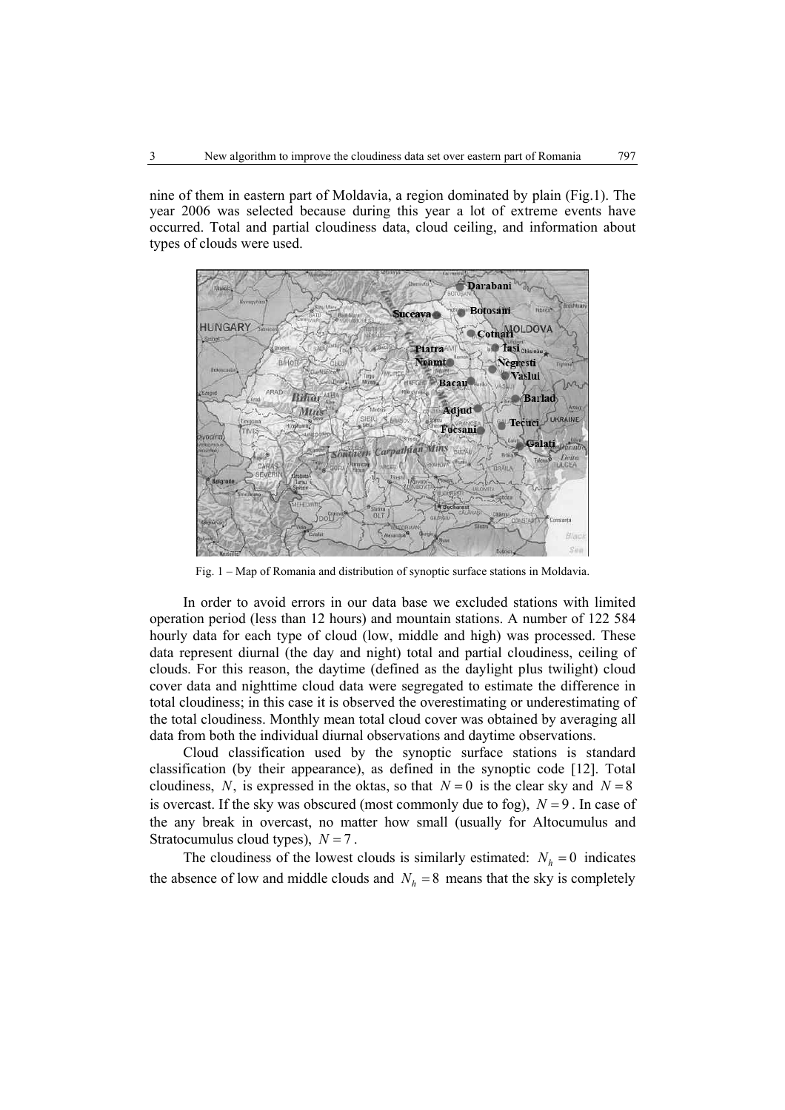nine of them in eastern part of Moldavia, a region dominated by plain (Fig.1). The year 2006 was selected because during this year a lot of extreme events have occurred. Total and partial cloudiness data, cloud ceiling, and information about types of clouds were used.



Fig. 1 – Map of Romania and distribution of synoptic surface stations in Moldavia.

In order to avoid errors in our data base we excluded stations with limited operation period (less than 12 hours) and mountain stations. A number of 122 584 hourly data for each type of cloud (low, middle and high) was processed. These data represent diurnal (the day and night) total and partial cloudiness, ceiling of clouds. For this reason, the daytime (defined as the daylight plus twilight) cloud cover data and nighttime cloud data were segregated to estimate the difference in total cloudiness; in this case it is observed the overestimating or underestimating of the total cloudiness. Monthly mean total cloud cover was obtained by averaging all data from both the individual diurnal observations and daytime observations.

Cloud classification used by the synoptic surface stations is standard classification (by their appearance), as defined in the synoptic code [12]. Total cloudiness, *N*, is expressed in the oktas, so that  $N = 0$  is the clear sky and  $N = 8$ is overcast. If the sky was obscured (most commonly due to fog),  $N = 9$ . In case of the any break in overcast, no matter how small (usually for Altocumulus and Stratocumulus cloud types),  $N = 7$ .

The cloudiness of the lowest clouds is similarly estimated:  $N_h = 0$  indicates the absence of low and middle clouds and  $N_h = 8$  means that the sky is completely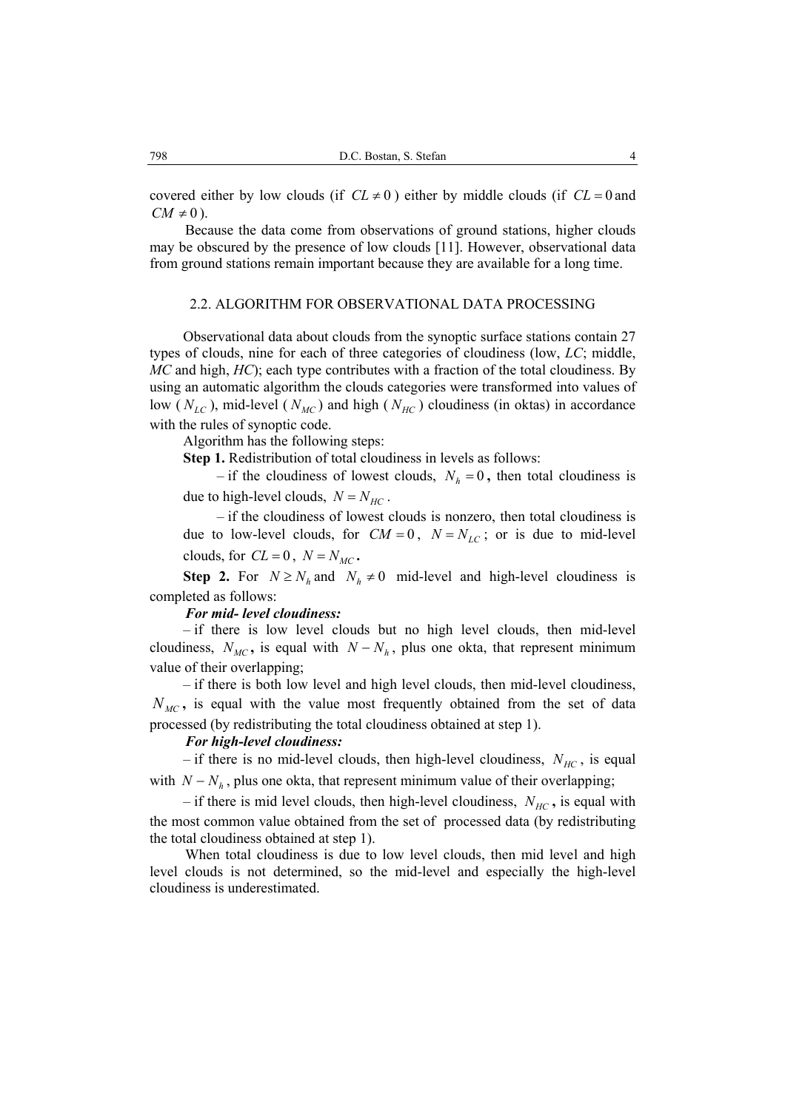covered either by low clouds (if  $CL \neq 0$ ) either by middle clouds (if  $CL = 0$  and  $CM \neq 0$ ).

Because the data come from observations of ground stations, higher clouds may be obscured by the presence of low clouds [11]. However, observational data from ground stations remain important because they are available for a long time.

### 2.2. ALGORITHM FOR OBSERVATIONAL DATA PROCESSING

Observational data about clouds from the synoptic surface stations contain 27 types of clouds, nine for each of three categories of cloudiness (low, *LC*; middle, *MC* and high, *HC*); each type contributes with a fraction of the total cloudiness. By using an automatic algorithm the clouds categories were transformed into values of low ( $N_{LC}$ ), mid-level ( $N_{MC}$ ) and high ( $N_{HC}$ ) cloudiness (in oktas) in accordance with the rules of synoptic code.

Algorithm has the following steps:

**Step 1.** Redistribution of total cloudiness in levels as follows:

– if the cloudiness of lowest clouds,  $N_h = 0$ , then total cloudiness is due to high-level clouds,  $N = N_{HC}$ .

– if the cloudiness of lowest clouds is nonzero, then total cloudiness is due to low-level clouds, for  $CM = 0$ ,  $N = N_{LC}$ ; or is due to mid-level clouds, for  $CL = 0$ ,  $N = N_{MC}$ .

**Step 2.** For  $N \ge N_h$  and  $N_h \ne 0$  mid-level and high-level cloudiness is completed as follows:

### *For mid- level cloudiness:*

– if there is low level clouds but no high level clouds, then mid-level cloudiness,  $N_{MC}$ , is equal with  $N - N_h$ , plus one okta, that represent minimum value of their overlapping;

– if there is both low level and high level clouds, then mid-level cloudiness,  $N_{MC}$ , is equal with the value most frequently obtained from the set of data processed (by redistributing the total cloudiness obtained at step 1).

# *For high-level cloudiness:*

– if there is no mid-level clouds, then high-level cloudiness,  $N_{HC}$ , is equal with  $N - N_h$ , plus one okta, that represent minimum value of their overlapping;

– if there is mid level clouds, then high-level cloudiness,  $N_{HC}$ , is equal with the most common value obtained from the set of processed data (by redistributing the total cloudiness obtained at step 1).

When total cloudiness is due to low level clouds, then mid level and high level clouds is not determined, so the mid-level and especially the high-level cloudiness is underestimated.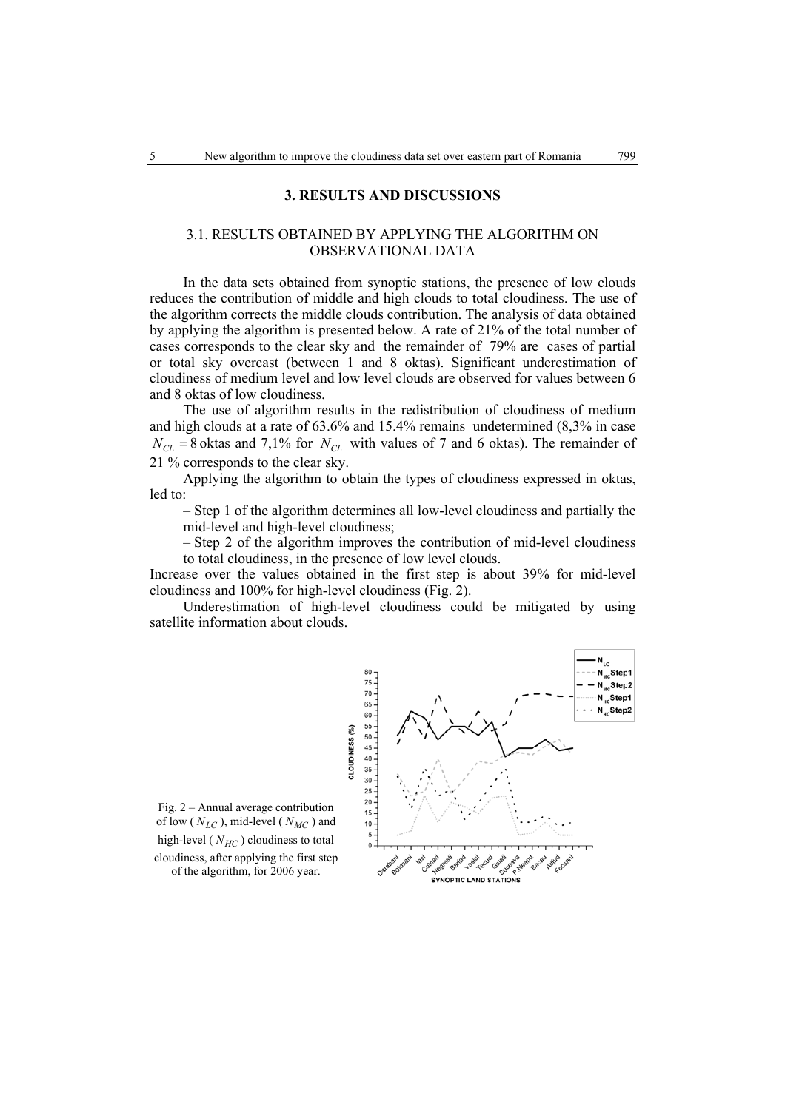### **3. RESULTS AND DISCUSSIONS**

# 3.1. RESULTS OBTAINED BY APPLYING THE ALGORITHM ON OBSERVATIONAL DATA

In the data sets obtained from synoptic stations, the presence of low clouds reduces the contribution of middle and high clouds to total cloudiness. The use of the algorithm corrects the middle clouds contribution. The analysis of data obtained by applying the algorithm is presented below. A rate of 21% of the total number of cases corresponds to the clear sky and the remainder of 79% are cases of partial or total sky overcast (between 1 and 8 oktas). Significant underestimation of cloudiness of medium level and low level clouds are observed for values between 6 and 8 oktas of low cloudiness.

The use of algorithm results in the redistribution of cloudiness of medium and high clouds at a rate of 63.6% and 15.4% remains undetermined (8,3% in case  $N_{CL}$  = 8 oktas and 7,1% for  $N_{CL}$  with values of 7 and 6 oktas). The remainder of 21 % corresponds to the clear sky.

Applying the algorithm to obtain the types of cloudiness expressed in oktas, led to:

– Step 1 of the algorithm determines all low-level cloudiness and partially the mid-level and high-level cloudiness;

– Step 2 of the algorithm improves the contribution of mid-level cloudiness to total cloudiness, in the presence of low level clouds.

Increase over the values obtained in the first step is about 39% for mid-level cloudiness and 100% for high-level cloudiness (Fig. 2).

Underestimation of high-level cloudiness could be mitigated by using satellite information about clouds.



Fig. 2 – Annual average contribution of low ( $N_{LC}$ ), mid-level ( $N_{MC}$ ) and high-level ( $N_{HC}$ ) cloudiness to total cloudiness, after applying the first step

of the algorithm, for 2006 year.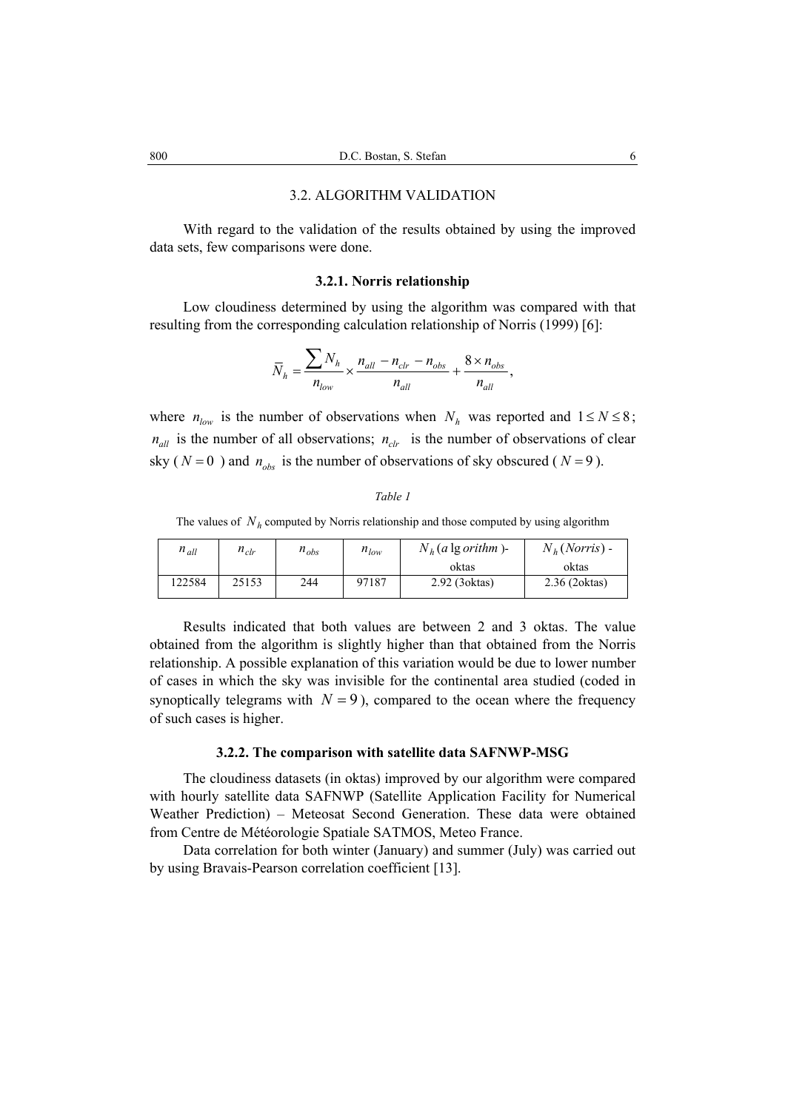# 3.2. ALGORITHM VALIDATION

With regard to the validation of the results obtained by using the improved data sets, few comparisons were done.

# **3.2.1. Norris relationship**

Low cloudiness determined by using the algorithm was compared with that resulting from the corresponding calculation relationship of Norris (1999) [6]:

$$
\overline{N}_h = \frac{\sum N_h}{n_{low}} \times \frac{n_{all} - n_{clr} - n_{obs}}{n_{all}} + \frac{8 \times n_{obs}}{n_{all}},
$$

where  $n_{low}$  is the number of observations when  $N_h$  was reported and  $1 \le N \le 8$ ;  $n_{all}$  is the number of all observations;  $n_{ch}$  is the number of observations of clear sky ( $N = 0$ ) and  $n_{obs}$  is the number of observations of sky obscured ( $N = 9$ ).

#### *Table 1*

The values of  $N_h$  computed by Norris relationship and those computed by using algorithm

| $n_{all}$ | $n_{clr}$ | $n_{obs}$ | $n_{low}$ | $N_h$ (a lg orithm)- | $N_h(Norris)$ - |
|-----------|-----------|-----------|-----------|----------------------|-----------------|
|           |           |           |           | oktas                | oktas           |
| 122584    | 25153     | 244       | 97187     | 2.92 (3 oktas)       | 2.36 (2 oktas)  |

Results indicated that both values are between 2 and 3 oktas. The value obtained from the algorithm is slightly higher than that obtained from the Norris relationship. A possible explanation of this variation would be due to lower number of cases in which the sky was invisible for the continental area studied (coded in synoptically telegrams with  $N = 9$ ), compared to the ocean where the frequency of such cases is higher.

### **3.2.2. The comparison with satellite data SAFNWP-MSG**

The cloudiness datasets (in oktas) improved by our algorithm were compared with hourly satellite data SAFNWP (Satellite Application Facility for Numerical Weather Prediction) – Meteosat Second Generation. These data were obtained from Centre de Météorologie Spatiale SATMOS, Meteo France.

Data correlation for both winter (January) and summer (July) was carried out by using Bravais-Pearson correlation coefficient [13].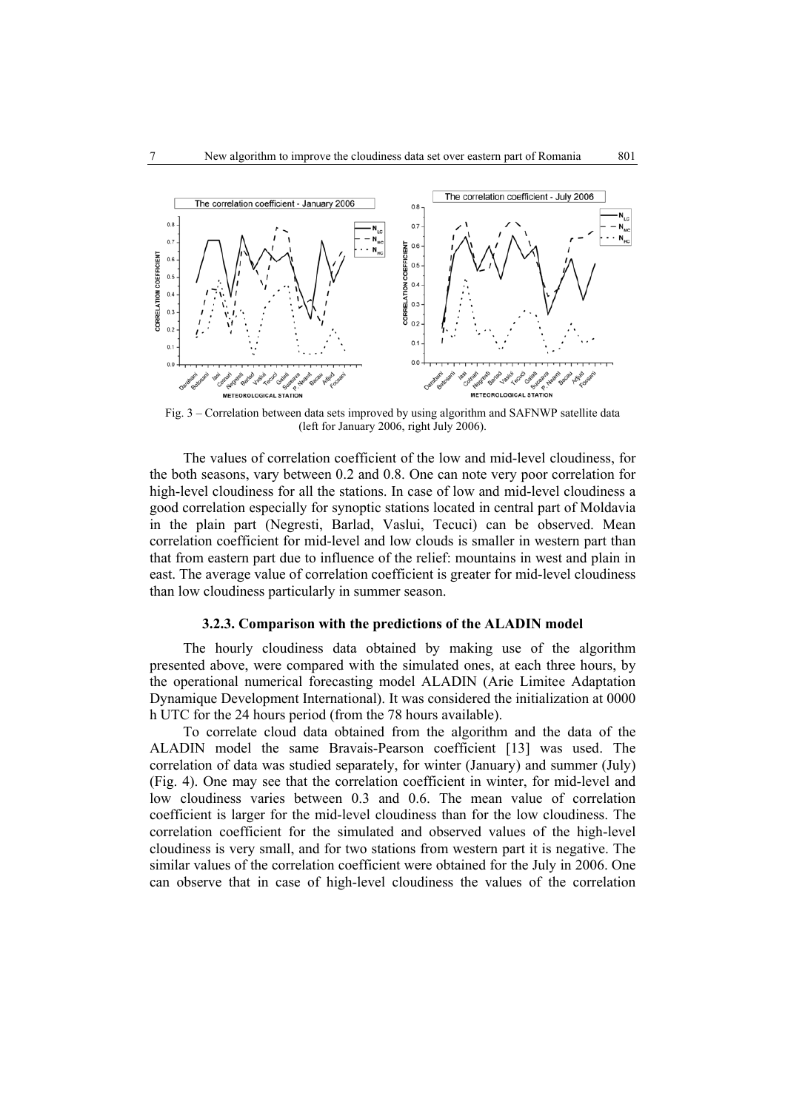

Fig. 3 – Correlation between data sets improved by using algorithm and SAFNWP satellite data (left for January 2006, right July 2006).

The values of correlation coefficient of the low and mid-level cloudiness, for the both seasons, vary between 0.2 and 0.8. One can note very poor correlation for high-level cloudiness for all the stations. In case of low and mid-level cloudiness a good correlation especially for synoptic stations located in central part of Moldavia in the plain part (Negresti, Barlad, Vaslui, Tecuci) can be observed. Mean correlation coefficient for mid-level and low clouds is smaller in western part than that from eastern part due to influence of the relief: mountains in west and plain in east. The average value of correlation coefficient is greater for mid-level cloudiness than low cloudiness particularly in summer season.

#### **3.2.3. Comparison with the predictions of the ALADIN model**

The hourly cloudiness data obtained by making use of the algorithm presented above, were compared with the simulated ones, at each three hours, by the operational numerical forecasting model ALADIN (Arie Limitee Adaptation Dynamique Development International). It was considered the initialization at 0000 h UTC for the 24 hours period (from the 78 hours available).

To correlate cloud data obtained from the algorithm and the data of the ALADIN model the same Bravais-Pearson coefficient [13] was used. The correlation of data was studied separately, for winter (January) and summer (July) (Fig. 4). One may see that the correlation coefficient in winter, for mid-level and low cloudiness varies between 0.3 and 0.6. The mean value of correlation coefficient is larger for the mid-level cloudiness than for the low cloudiness. The correlation coefficient for the simulated and observed values of the high-level cloudiness is very small, and for two stations from western part it is negative. The similar values of the correlation coefficient were obtained for the July in 2006. One can observe that in case of high-level cloudiness the values of the correlation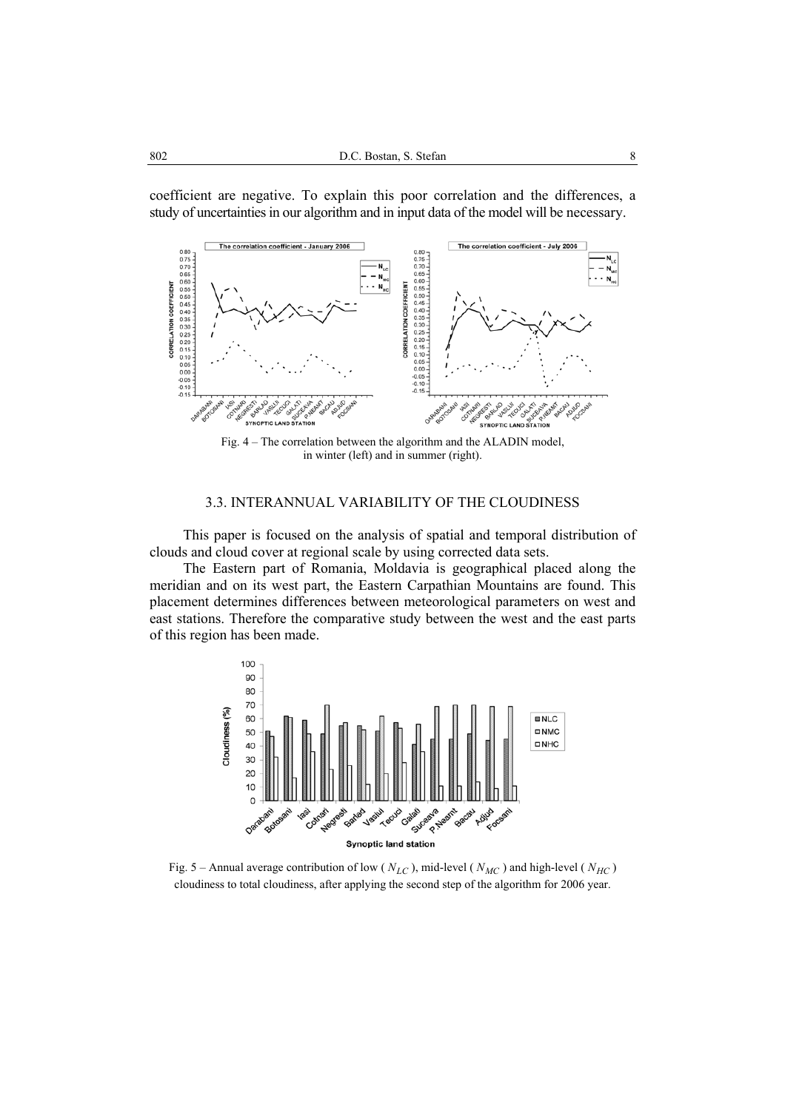

coefficient are negative. To explain this poor correlation and the differences, a study of uncertainties in our algorithm and in input data of the model will be necessary.

Fig. 4 – The correlation between the algorithm and the ALADIN model, in winter (left) and in summer (right).

# 3.3. INTERANNUAL VARIABILITY OF THE CLOUDINESS

This paper is focused on the analysis of spatial and temporal distribution of clouds and cloud cover at regional scale by using corrected data sets.

The Eastern part of Romania, Moldavia is geographical placed along the meridian and on its west part, the Eastern Carpathian Mountains are found. This placement determines differences between meteorological parameters on west and east stations. Therefore the comparative study between the west and the east parts of this region has been made.



Fig. 5 – Annual average contribution of low ( $N_{LC}$ ), mid-level ( $N_{MC}$ ) and high-level ( $N_{HC}$ ) cloudiness to total cloudiness, after applying the second step of the algorithm for 2006 year.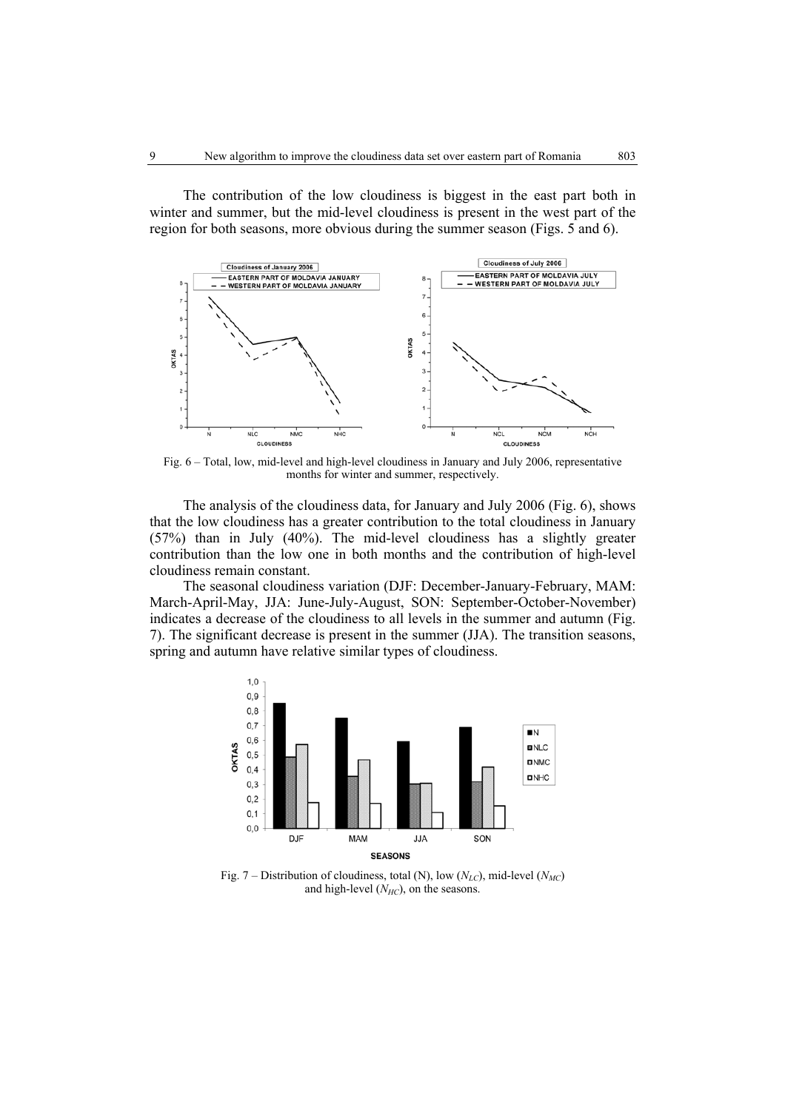The contribution of the low cloudiness is biggest in the east part both in winter and summer, but the mid-level cloudiness is present in the west part of the region for both seasons, more obvious during the summer season (Figs. 5 and 6).



Fig. 6 – Total, low, mid-level and high-level cloudiness in January and July 2006, representative months for winter and summer, respectively.

The analysis of the cloudiness data, for January and July 2006 (Fig. 6), shows that the low cloudiness has a greater contribution to the total cloudiness in January (57%) than in July (40%). The mid-level cloudiness has a slightly greater contribution than the low one in both months and the contribution of high-level cloudiness remain constant.

The seasonal cloudiness variation (DJF: December-January-February, MAM: March-April-May, JJA: June-July-August, SON: September-October-November) indicates a decrease of the cloudiness to all levels in the summer and autumn (Fig. 7). The significant decrease is present in the summer (JJA). The transition seasons, spring and autumn have relative similar types of cloudiness.



Fig. 7 – Distribution of cloudiness, total (N), low  $(N_{LC})$ , mid-level  $(N_{MC})$ and high-level  $(N_{HC})$ , on the seasons.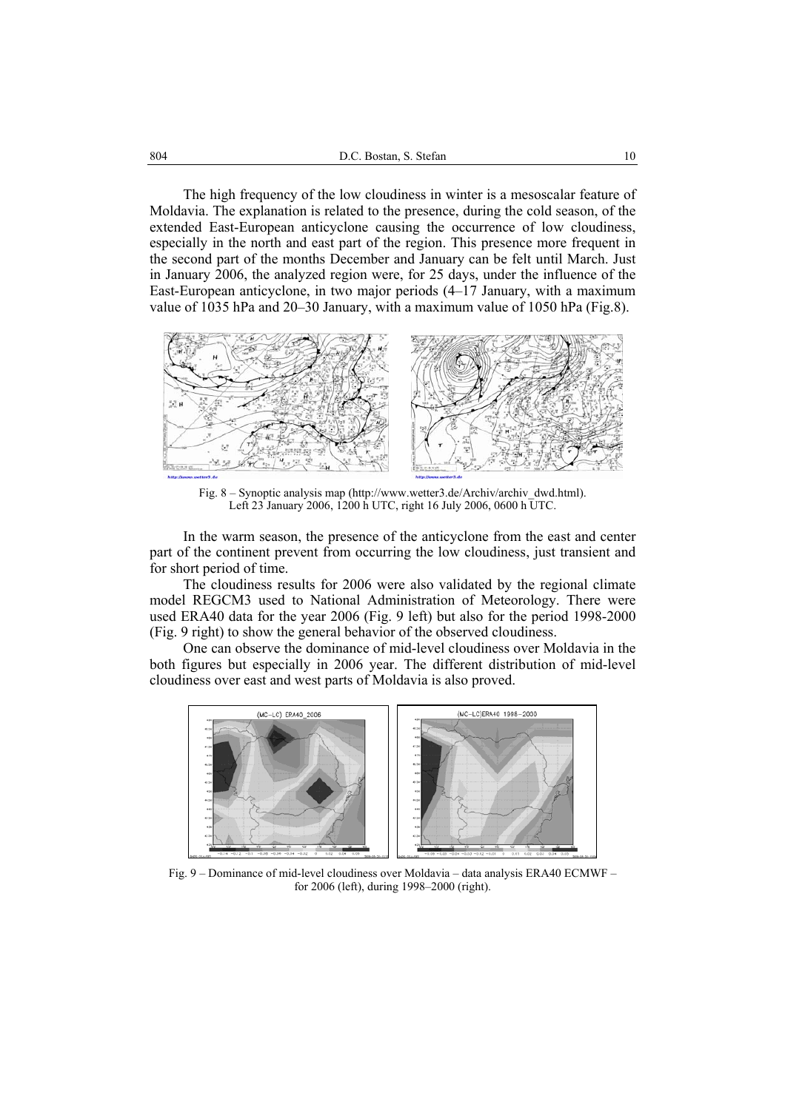The high frequency of the low cloudiness in winter is a mesoscalar feature of Moldavia. The explanation is related to the presence, during the cold season, of the extended East-European anticyclone causing the occurrence of low cloudiness, especially in the north and east part of the region. This presence more frequent in the second part of the months December and January can be felt until March. Just in January 2006, the analyzed region were, for 25 days, under the influence of the East-European anticyclone, in two major periods (4–17 January, with a maximum value of 1035 hPa and 20–30 January, with a maximum value of 1050 hPa (Fig.8).



Fig. 8 – Synoptic analysis map (http://www.wetter3.de/Archiv/archiv\_dwd.html). Left 23 January 2006, 1200 h UTC, right 16 July 2006, 0600 h UTC.

In the warm season, the presence of the anticyclone from the east and center part of the continent prevent from occurring the low cloudiness, just transient and for short period of time.

The cloudiness results for 2006 were also validated by the regional climate model REGCM3 used to National Administration of Meteorology. There were used ERA40 data for the year 2006 (Fig. 9 left) but also for the period 1998-2000 (Fig. 9 right) to show the general behavior of the observed cloudiness.

One can observe the dominance of mid-level cloudiness over Moldavia in the both figures but especially in 2006 year. The different distribution of mid-level cloudiness over east and west parts of Moldavia is also proved.



Fig. 9 – Dominance of mid-level cloudiness over Moldavia – data analysis ERA40 ECMWF – for 2006 (left), during 1998–2000 (right).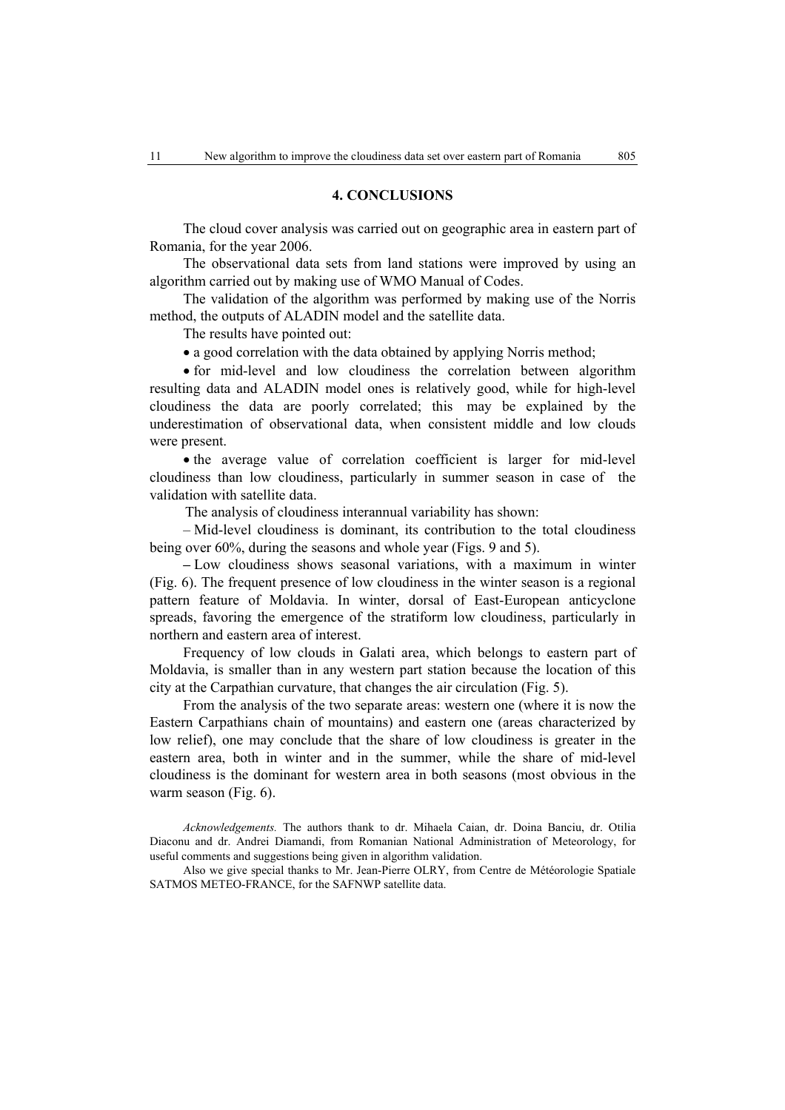# **4. CONCLUSIONS**

The cloud cover analysis was carried out on geographic area in eastern part of Romania, for the year 2006.

The observational data sets from land stations were improved by using an algorithm carried out by making use of WMO Manual of Codes.

The validation of the algorithm was performed by making use of the Norris method, the outputs of ALADIN model and the satellite data.

The results have pointed out:

• a good correlation with the data obtained by applying Norris method;

• for mid-level and low cloudiness the correlation between algorithm resulting data and ALADIN model ones is relatively good, while for high-level cloudiness the data are poorly correlated; this may be explained by the underestimation of observational data, when consistent middle and low clouds were present.

• the average value of correlation coefficient is larger for mid-level cloudiness than low cloudiness, particularly in summer season in case of the validation with satellite data.

The analysis of cloudiness interannual variability has shown:

– Mid-level cloudiness is dominant, its contribution to the total cloudiness being over 60%, during the seasons and whole year (Figs. 9 and 5).

**–** Low cloudiness shows seasonal variations, with a maximum in winter (Fig. 6). The frequent presence of low cloudiness in the winter season is a regional pattern feature of Moldavia. In winter, dorsal of East-European anticyclone spreads, favoring the emergence of the stratiform low cloudiness, particularly in northern and eastern area of interest.

Frequency of low clouds in Galati area, which belongs to eastern part of Moldavia, is smaller than in any western part station because the location of this city at the Carpathian curvature, that changes the air circulation (Fig. 5).

From the analysis of the two separate areas: western one (where it is now the Eastern Carpathians chain of mountains) and eastern one (areas characterized by low relief), one may conclude that the share of low cloudiness is greater in the eastern area, both in winter and in the summer, while the share of mid-level cloudiness is the dominant for western area in both seasons (most obvious in the warm season (Fig. 6).

*Acknowledgements.* The authors thank to dr. Mihaela Caian, dr. Doina Banciu, dr. Otilia Diaconu and dr. Andrei Diamandi, from Romanian National Administration of Meteorology, for useful comments and suggestions being given in algorithm validation.

Also we give special thanks to Mr. Jean-Pierre OLRY, from Centre de Météorologie Spatiale SATMOS METEO-FRANCE, for the SAFNWP satellite data.